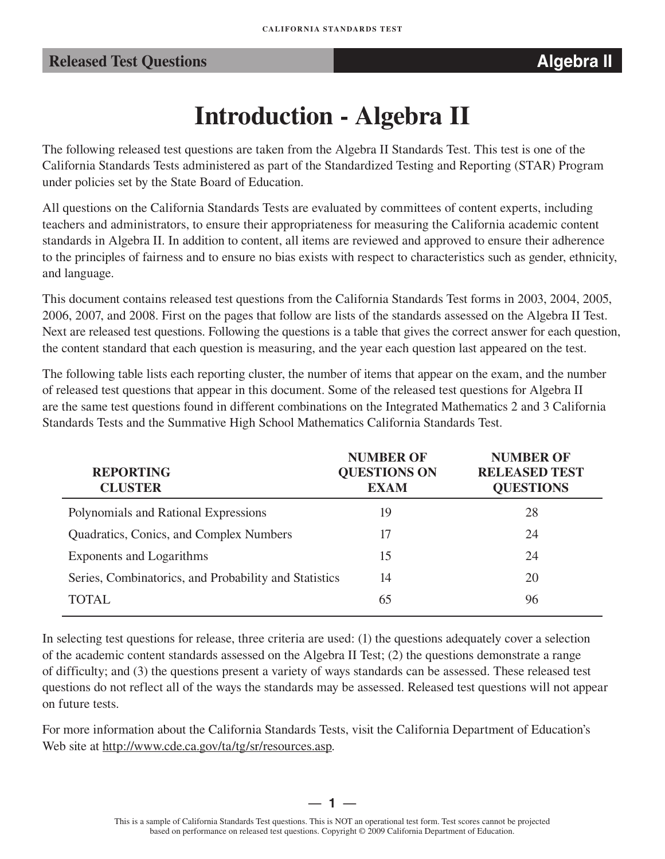# **Introduction - Algebra II**

The following released test questions are taken from the Algebra II Standards Test. This test is one of the California Standards Tests administered as part of the Standardized Testing and Reporting (STAR) Program under policies set by the State Board of Education.

All questions on the California Standards Tests are evaluated by committees of content experts, including teachers and administrators, to ensure their appropriateness for measuring the California academic content standards in Algebra II. In addition to content, all items are reviewed and approved to ensure their adherence to the principles of fairness and to ensure no bias exists with respect to characteristics such as gender, ethnicity, and language.

This document contains released test questions from the California Standards Test forms in 2003, 2004, 2005, 2006, 2007, and 2008. First on the pages that follow are lists of the standards assessed on the Algebra II Test. Next are released test questions. Following the questions is a table that gives the correct answer for each question, the content standard that each question is measuring, and the year each question last appeared on the test.

The following table lists each reporting cluster, the number of items that appear on the exam, and the number of released test questions that appear in this document. Some of the released test questions for Algebra II are the same test questions found in different combinations on the Integrated Mathematics 2 and 3 California Standards Tests and the Summative High School Mathematics California Standards Test.

| <b>REPORTING</b><br><b>CLUSTER</b>                    | <b>NUMBER OF</b><br><b>QUESTIONS ON</b><br><b>EXAM</b> | <b>NUMBER OF</b><br><b>RELEASED TEST</b><br><b>QUESTIONS</b> |
|-------------------------------------------------------|--------------------------------------------------------|--------------------------------------------------------------|
| Polynomials and Rational Expressions                  | 19                                                     | 28                                                           |
| Quadratics, Conics, and Complex Numbers               | 17                                                     | 24                                                           |
| Exponents and Logarithms                              | 15                                                     | 24                                                           |
| Series, Combinatorics, and Probability and Statistics | 14                                                     | 20                                                           |
| <b>TOTAL</b>                                          | 65                                                     | 96                                                           |

In selecting test questions for release, three criteria are used: (1) the questions adequately cover a selection of the academic content standards assessed on the Algebra II Test; (2) the questions demonstrate a range of difficulty; and (3) the questions present a variety of ways standards can be assessed. These released test questions do not reflect all of the ways the standards may be assessed. Released test questions will not appear on future tests.

For more information about the California Standards Tests, visit the California Department of Education's Web site at http://www.cde.ca.gov/ta/tg/sr/resources.asp.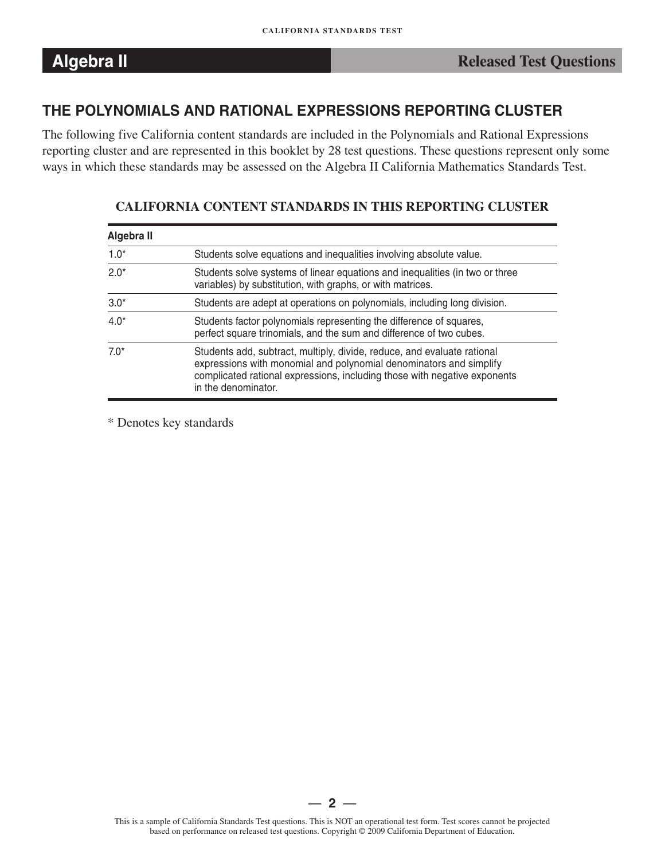### **THE POLYNOMIALS AND RATIONAL EXPRESSIONS REPORTING CLUSTER**

The following five California content standards are included in the Polynomials and Rational Expressions reporting cluster and are represented in this booklet by 28 test questions. These questions represent only some ways in which these standards may be assessed on the Algebra II California Mathematics Standards Test.

#### **Algebra II**  1.0\* Students solve equations and inequalities involving absolute value. 2.0\* Students solve systems of linear equations and inequalities (in two or three variables) by substitution, with graphs, or with matrices. 3.0\* Students are adept at operations on polynomials, including long division. 4.0\* Students factor polynomials representing the difference of squares, perfect square trinomials, and the sum and difference of two cubes. 7.0\* Students add, subtract, multiply, divide, reduce, and evaluate rational expressions with monomial and polynomial denominators and simplify complicated rational expressions, including those with negative exponents in the denominator.

#### **CALIFORNIA CONTENT STANDARDS IN THIS REPORTING CLUSTER**

\* Denotes key standards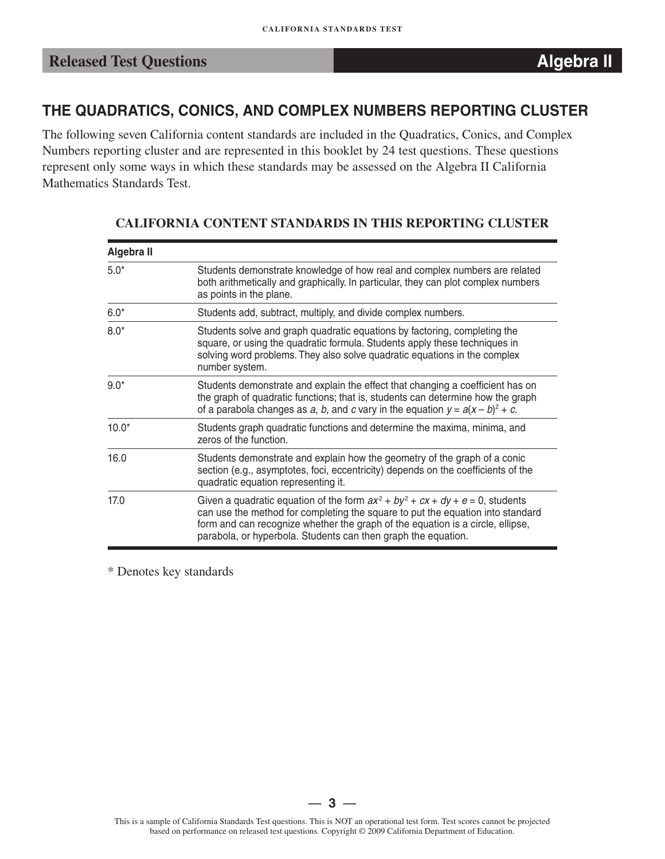### **THE QUADRATICS, CONICS, AND COMPLEX NUMBERS REPORTING CLUSTER**

The following seven California content standards are included in the Quadratics, Conics, and Complex Numbers reporting cluster and are represented in this booklet by 24 test questions. These questions represent only some ways in which these standards may be assessed on the Algebra II California Mathematics Standards Test.

| Algebra II |                                                                                                                                                                                                                                                                                                                        |
|------------|------------------------------------------------------------------------------------------------------------------------------------------------------------------------------------------------------------------------------------------------------------------------------------------------------------------------|
| $5.0*$     | Students demonstrate knowledge of how real and complex numbers are related<br>both arithmetically and graphically. In particular, they can plot complex numbers<br>as points in the plane.                                                                                                                             |
| $6.0*$     | Students add, subtract, multiply, and divide complex numbers.                                                                                                                                                                                                                                                          |
| $8.0*$     | Students solve and graph quadratic equations by factoring, completing the<br>square, or using the quadratic formula. Students apply these techniques in<br>solving word problems. They also solve quadratic equations in the complex<br>number system.                                                                 |
| $9.0*$     | Students demonstrate and explain the effect that changing a coefficient has on<br>the graph of quadratic functions; that is, students can determine how the graph<br>of a parabola changes as a, b, and c vary in the equation $y = a(x - b)^2 + c$ .                                                                  |
| $10.0*$    | Students graph quadratic functions and determine the maxima, minima, and<br>zeros of the function.                                                                                                                                                                                                                     |
| 16.0       | Students demonstrate and explain how the geometry of the graph of a conic<br>section (e.g., asymptotes, foci, eccentricity) depends on the coefficients of the<br>quadratic equation representing it.                                                                                                                  |
| 17.0       | Given a quadratic equation of the form $ax^2 + by^2 + cx + dy + e = 0$ , students<br>can use the method for completing the square to put the equation into standard<br>form and can recognize whether the graph of the equation is a circle, ellipse,<br>parabola, or hyperbola. Students can then graph the equation. |

#### **CALIFORNIA CONTENT STANDARDS IN THIS REPORTING CLUSTER**

\* Denotes key standards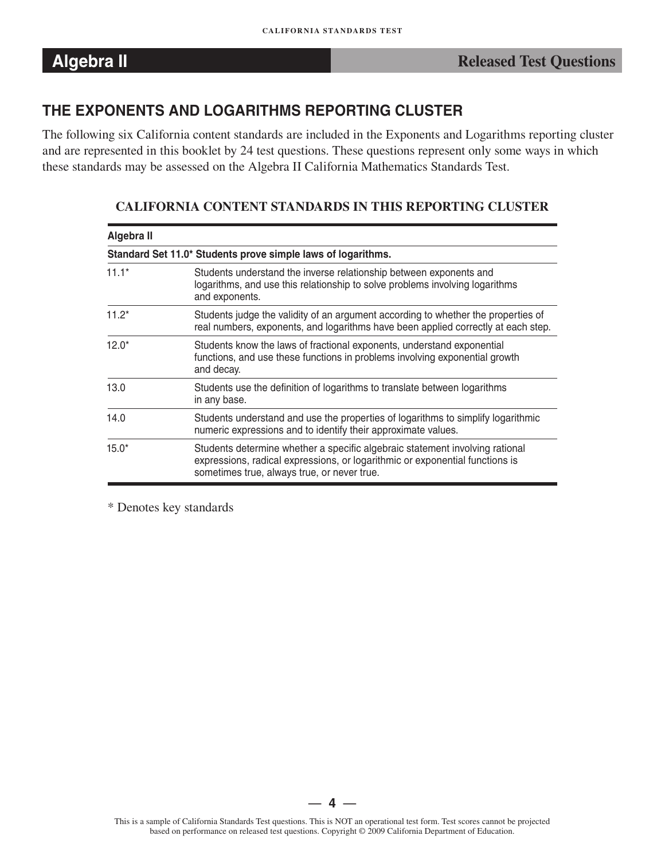### **THE EXPONENTS AND LOGARITHMS REPORTING CLUSTER**

The following six California content standards are included in the Exponents and Logarithms reporting cluster and are represented in this booklet by 24 test questions. These questions represent only some ways in which these standards may be assessed on the Algebra II California Mathematics Standards Test.

| Algebra II |                                                                                                                                                                                                             |
|------------|-------------------------------------------------------------------------------------------------------------------------------------------------------------------------------------------------------------|
|            | Standard Set 11.0* Students prove simple laws of logarithms.                                                                                                                                                |
| $11.1*$    | Students understand the inverse relationship between exponents and<br>logarithms, and use this relationship to solve problems involving logarithms<br>and exponents.                                        |
| $11.2*$    | Students judge the validity of an argument according to whether the properties of<br>real numbers, exponents, and logarithms have been applied correctly at each step.                                      |
| $12.0*$    | Students know the laws of fractional exponents, understand exponential<br>functions, and use these functions in problems involving exponential growth<br>and decay.                                         |
| 13.0       | Students use the definition of logarithms to translate between logarithms<br>in any base.                                                                                                                   |
| 14.0       | Students understand and use the properties of logarithms to simplify logarithmic<br>numeric expressions and to identify their approximate values.                                                           |
| $15.0*$    | Students determine whether a specific algebraic statement involving rational<br>expressions, radical expressions, or logarithmic or exponential functions is<br>sometimes true, always true, or never true. |

#### **CALIFORNIA CONTENT STANDARDS IN THIS REPORTING CLUSTER**

\* Denotes key standards

— **4** —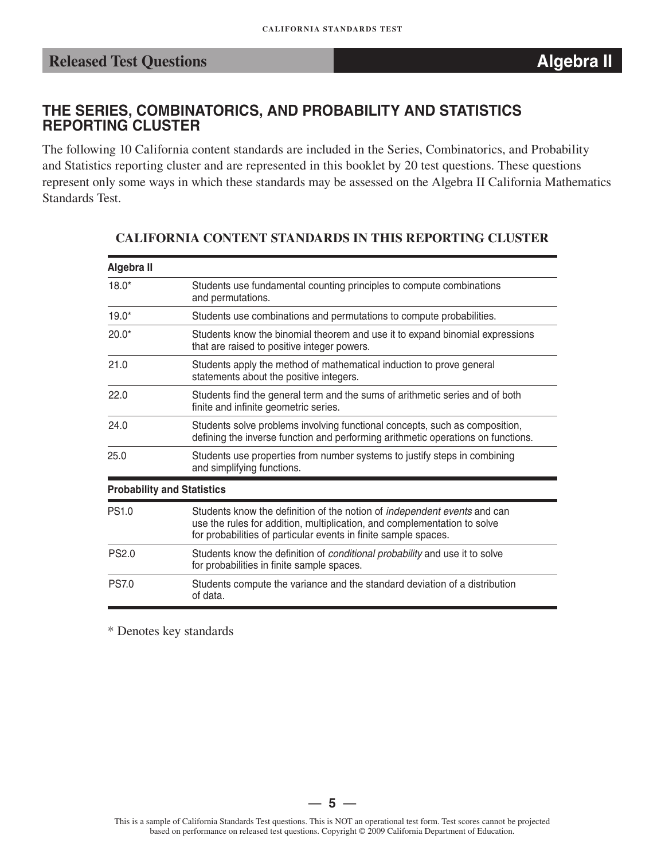### **THE SERIES, COMBINATORICS, AND PROBABILITY AND STATISTICS REPORTING CLUSTER**

The following 10 California content standards are included in the Series, Combinatorics, and Probability and Statistics reporting cluster and are represented in this booklet by 20 test questions. These questions represent only some ways in which these standards may be assessed on the Algebra II California Mathematics Standards Test.

| Algebra II   |                                                                                                                                                                                                                                |
|--------------|--------------------------------------------------------------------------------------------------------------------------------------------------------------------------------------------------------------------------------|
| $18.0*$      | Students use fundamental counting principles to compute combinations<br>and permutations.                                                                                                                                      |
| $19.0*$      | Students use combinations and permutations to compute probabilities.                                                                                                                                                           |
| $20.0*$      | Students know the binomial theorem and use it to expand binomial expressions<br>that are raised to positive integer powers.                                                                                                    |
| 21.0         | Students apply the method of mathematical induction to prove general<br>statements about the positive integers.                                                                                                                |
| 22.0         | Students find the general term and the sums of arithmetic series and of both<br>finite and infinite geometric series.                                                                                                          |
| 24.0         | Students solve problems involving functional concepts, such as composition,<br>defining the inverse function and performing arithmetic operations on functions.                                                                |
| 25.0         | Students use properties from number systems to justify steps in combining<br>and simplifying functions.                                                                                                                        |
|              | <b>Probability and Statistics</b>                                                                                                                                                                                              |
| <b>PS1.0</b> | Students know the definition of the notion of <i>independent events</i> and can<br>use the rules for addition, multiplication, and complementation to solve<br>for probabilities of particular events in finite sample spaces. |
| <b>PS2.0</b> | Students know the definition of conditional probability and use it to solve<br>for probabilities in finite sample spaces.                                                                                                      |
| <b>PS7.0</b> | Students compute the variance and the standard deviation of a distribution<br>of data.                                                                                                                                         |

#### **CALIFORNIA CONTENT STANDARDS IN THIS REPORTING CLUSTER**

\* Denotes key standards

— **5** —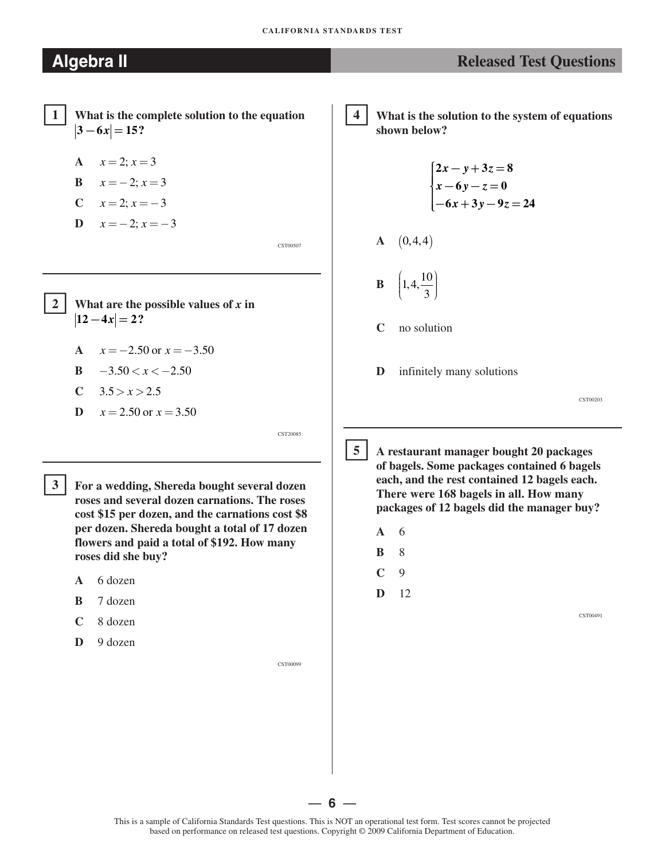$$
A \quad x = 2; x = 3
$$

$$
B \qquad x = -2; x = 3
$$

$$
C \qquad x = 2; x = -3
$$

**D**  $x = -2$ ;  $x = -3$ 

CST00507

CST20085

What are the possible values of  $x$  in  $|12 - 4x| = 2?$ 

- **A**  $x = -2.50$  or  $x = -3.50$
- **B**  $-3.50 < x < -2.50$
- **C**  $3.5 > x > 2.5$

-

$$
D \quad x = 2.50 \text{ or } x = 3.50
$$

 $3<sup>1</sup>$  **3 For a wedding, Shereda bought several dozen roses and several dozen carnations. The roses cost \$15 per dozen, and the carnations cost \$8 per dozen. Shereda bought a total of 17 dozen flowers and paid a total of \$192. How many roses did she buy?**

- **A** 6 dozen
- **B** 7 dozen
- **C** 8 dozen
- **D** 9 dozen

CST00099

 **4 What is the solution to the system of equations shown below?**

$$
\begin{cases}\n2x - y + 3z = 8 \\
x - 6y - z = 0 \\
-6x + 3y - 9z = 24\n\end{cases}
$$

$$
\mathbf{A} \quad (0,4,4)
$$

**B**   $\left(1, 4, \frac{10}{3}\right)$ 

- **C** no solution
- **D** infinitely many solutions

CST00203

 **5 A restaurant manager bought 20 packages of bagels. Some packages contained 6 bagels each, and the rest contained 12 bagels each. There were 168 bagels in all. How many** 

**packages of 12 bagels did the manager buy?**

**A** 6

 $5<sup>5</sup>$ 

- **B** 8
- **C** 9
- **D** 12

CST00491

This is a sample of California Standards Test questions. This is NOT an operational test form. Test scores cannot be projected based on performance on released test questions. Copyright © 2009 California Department of Education.

— **6** —

### **Algebra II Released Test Questions Released Test Questions**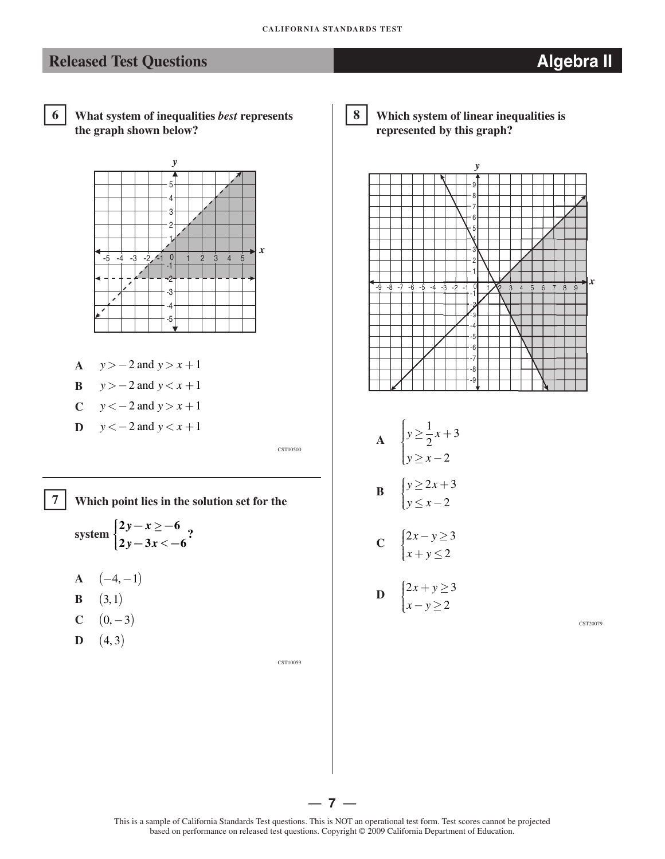

 **6 What system of inequalities** *best* **represents the graph shown below?**



- **A**  $y > -2$  and  $y > x + 1$
- **B**  $y > -2$  and  $y < x + 1$
- **C**  $y < -2$  and  $y > x + 1$
- **D**  $y < -2$  and  $y < x + 1$

CST00500

**7 Which point lies in the solution set for the**

system 
$$
\begin{cases} 2y - x \ge -6 \\ 2y - 3x \lt -6 \end{cases}
$$
?

- $A \quad (-4, -1)$
- **B**  $(3,1)$

-

- **C**  $(0, -3)$
- **D**  $(4, 3)$

CST10059

8 **8 Which system of linear inequalities is represented by this graph?**



$$
\begin{aligned}\n\mathbf{A} \quad & \begin{cases}\n y \ge \frac{1}{2}x + 3 \\
 y \ge x - 2\n \end{cases} \\
\mathbf{B} \quad & \begin{cases}\n y \ge 2x + 3 \\
 y \le x - 2\n \end{cases}\n \end{aligned}
$$

$$
C \quad \begin{cases} 2x - y \ge 3 \\ x + y \le 2 \end{cases}
$$

$$
\mathbf{D} \quad \begin{cases} 2x + y \ge 3 \\ x - y \ge 2 \end{cases}
$$

CST20079

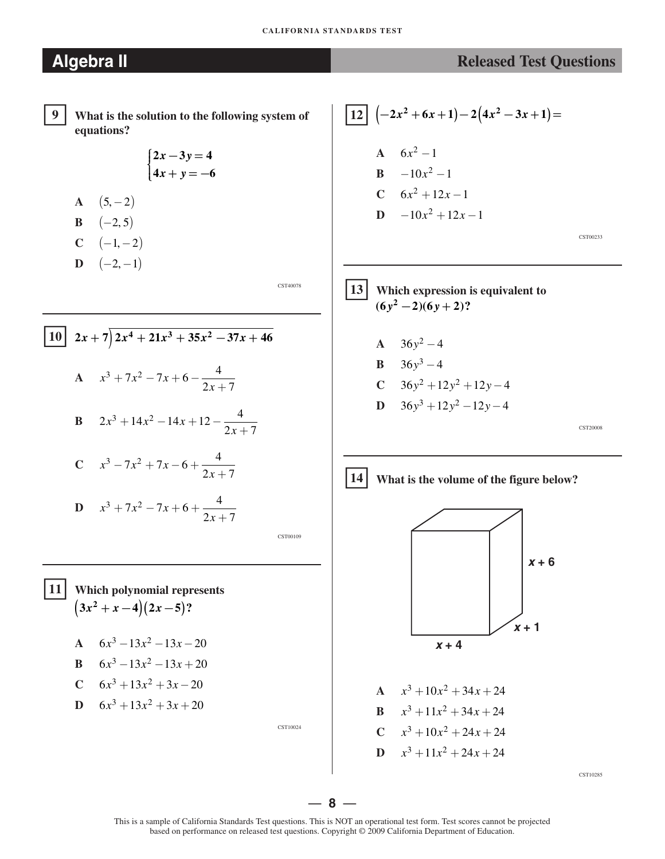#### **CALIFORNIA STANDARDS TEST**

$$
\boxed{9}
$$

�**9 What is the solution to the following system of equations?** 

$$
\begin{cases} 2x - 3y = 4 \\ 4x + y = -6 \end{cases}
$$

- **A**  $(5, -2)$
- **B**  $(-2, 5)$
- $C \quad (-1, -2)$  $D \quad (-2, -1)$

CST40078

$$
\begin{array}{|rcl|}\n\hline\n10 & 2x + 7 & 2x^4 + 21x^3 + 35x^2 - 37x + 46 \\
\hline\n\text{A} & x^3 + 7x^2 - 7x + 6 - \frac{4}{2x + 7} \\
\hline\n\text{B} & 2x^3 + 14x^2 - 14x + 12 - \frac{4}{2x + 7}\n\end{array}
$$

C 
$$
x^3 - 7x^2 + 7x - 6 + \frac{4}{2x + 7}
$$

$$
D \quad x^3 + 7x^2 - 7x + 6 + \frac{4}{2x + 7}
$$

CST00109

### �**11 Which polynomial represents**   $(3x^{2} + x - 4)(2x - 5)$ ?

- **A**  $6x^3 13x^2 13x 20$
- **B**  $6x^3 13x^2 13x + 20$
- **C**  $6x^3 + 13x^2 + 3x 20$

$$
D \quad 6x^3 + 13x^2 + 3x + 20
$$

CST10024

$$
12 \left(-2x^2 + 6x + 1\right) - 2\left(4x^2 - 3x + 1\right) =
$$
\n
$$
A \quad 6x^2 - 1
$$
\n
$$
B \quad -10x^2 - 1
$$
\n
$$
C \quad 6x^2 + 12x - 1
$$
\n
$$
D \quad -10x^2 + 12x - 1
$$
\n
$$
C \quad 6x^2 - 12x - 1
$$
\n
$$
C \quad 6x^2 - 12x - 1
$$
\n
$$
C \quad 6x^2 - 12x - 1
$$
\n
$$
C \quad 6x^2 - 12x - 1
$$

13 Which expression is equivalent to  

$$
(6y^2-2)(6y+2)?
$$

- **A**  $36y^2 4$ **B**  $36y^3 - 4$
- **C**  $36y^2 + 12y^2 + 12y 4$
- **D**  $36y^3 + 12y^2 12y 4$

CST20008

### �**14 What is the volume of the figure below?**



**A**  $x^3 + 10x^2 + 34x + 24$ **B**  $x^3 + 11x^2 + 34x + 24$  $C$   $x^3 + 10x^2 + 24x + 24$ **D**  $x^3 + 11x^2 + 24x + 24$ 

 $CST10285$ 

— **8** —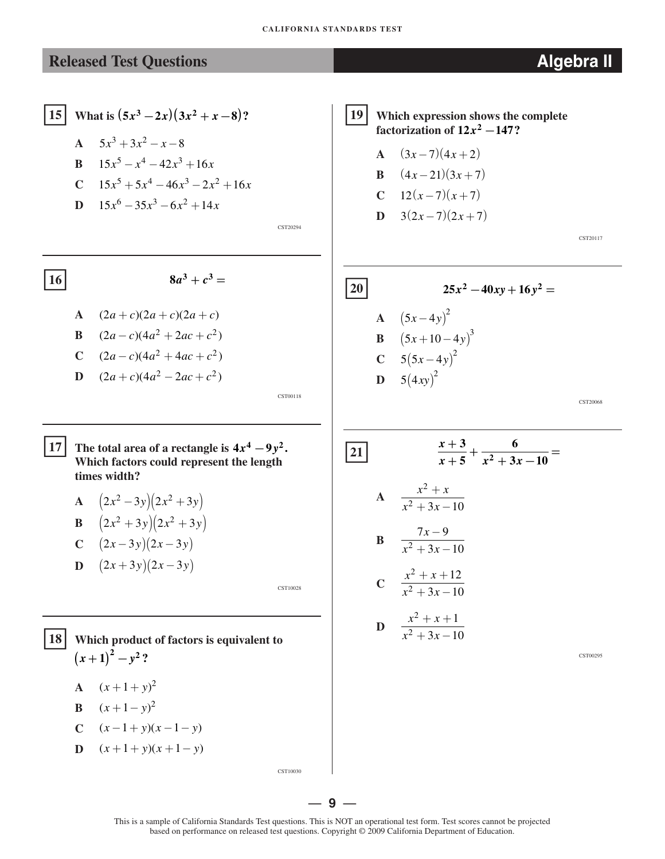15 What is 
$$
(5x^3 - 2x)(3x^2 + x - 8)
$$
?

- **A**  $5x^3 + 3x^2 x 8$
- **B**  $15x^5 x^4 42x^3 + 16x$
- **C**  $15x^5 + 5x^4 46x^3 2x^2 + 16x$
- **D**  $15x^6 35x^3 6x^2 + 14x$

CST20294

CST00118

 $8a^3 + c^3 =$ 

A 
$$
(2a + c)(2a + c)(2a + c)
$$
  
\nB  $(2a - c)(4a^2 + 2ac + c^2)$   
\nC  $(2a - c)(4a^2 + 4ac + c^2)$   
\nD  $(2a + c)(4a^2 - 2ac + c^2)$ 

**17 The total area of a rectangle is**  $4x^4 - 9y^2$ **. Which factors could represent the length times width?** 

**A** 
$$
(2x^2 - 3y)(2x^2 + 3y)
$$
  
\n**B**  $(2x^2 + 3y)(2x^2 + 3y)$   
\n**C**  $(2x - 3y)(2x - 3y)$   
\n**D**  $(2x + 3y)(2x - 3y)$ 

CST10028

CST10030

�**18 Which product of factors is equivalent to**   $(x+1)^2 - y^2$ ?

- **A**  $(x+1+y)^2$
- **B**  $(x+1-y)^2$
- **C**  $(x-1+y)(x-1-y)$
- **D**  $(x+1+y)(x+1-y)$

�**<sup>19</sup> Which expression shows the complete factorization of**  $12x^2 - 147$ **?** 

- **A**  $(3x-7)(4x+2)$ **B**  $(4x-21)(3x+7)$
- **C**  $12(x-7)(x+7)$
- **D**  $3(2x-7)(2x+7)$

CST20117

20  
\n25
$$
x^2
$$
 - 40xy + 16y<sup>2</sup> =  
\nA  $(5x-4y)^2$   
\nB  $(5x+10-4y)^3$   
\nC  $5(5x-4y)^2$   
\nD  $5(4xy)^2$ 

CST20068

21 
$$
\frac{x+3}{x+5} + \frac{6}{x^2+3x-10} =
$$
  
\nA 
$$
\frac{x^2+x}{x^2+3x-10}
$$
  
\nB 
$$
\frac{7x-9}{x^2+3x-10}
$$
  
\nC 
$$
\frac{x^2+x+12}{x^2+3x-10}
$$
  
\nD 
$$
\frac{x^2+x+1}{x^2+3x-10}
$$

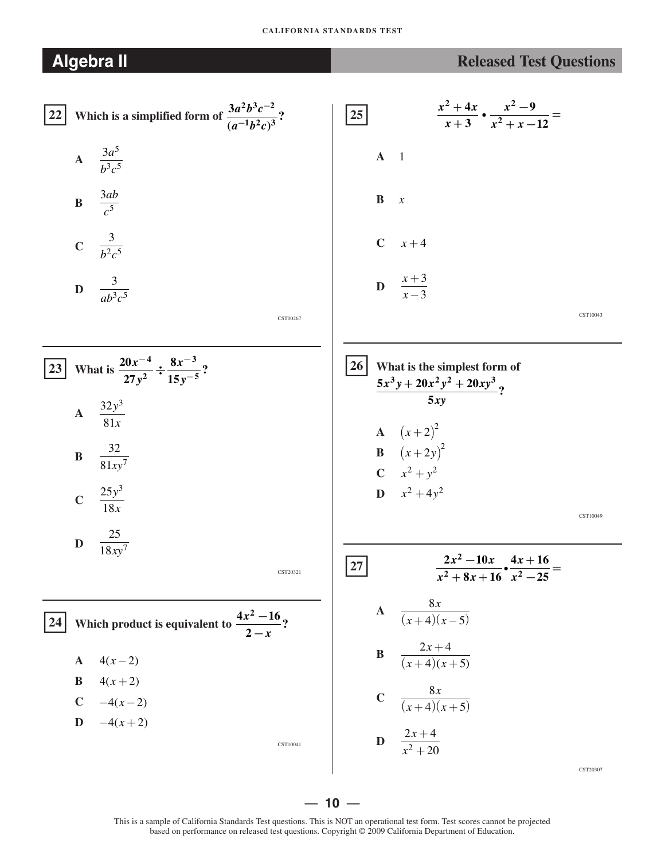#### **CALIFORNIA STANDARDS TEST**

| <b>Algebra II</b>                                                            | <b>Released Test Questions</b>                                                             |
|------------------------------------------------------------------------------|--------------------------------------------------------------------------------------------|
| Which is a simplified form of $\frac{3a^2b^3c^{-2}}{(a^{-1}b^2c)^3}$ ?<br>22 | $rac{x^2+4x}{x+3}$ $\cdot$ $rac{x^2-9}{x^2+x-12}$ =<br>$\boxed{25}$                        |
| A $\frac{3a^5}{b^3c^5}$                                                      | $A \quad 1$                                                                                |
| <b>B</b> $\frac{3ab}{c^5}$                                                   | $\bf{B}$<br>$\boldsymbol{x}$                                                               |
| <b>C</b> $\frac{3}{b^2c^5}$                                                  | $C$ $x+4$                                                                                  |
| <b>D</b> $\frac{3}{ab^3c^5}$                                                 | <b>D</b> $\frac{x+3}{x-3}$                                                                 |
| CST00267                                                                     | CST10043                                                                                   |
| What is $\frac{20x^{-4}}{27y^2} \div \frac{8x^{-3}}{15y^{-5}}$ ?<br>23       | 26<br>What is the simplest form of<br>$\frac{5x^3y+20x^2y^2+20xy^3}{2}$ ?                  |
| A $\frac{32y^3}{81x}$                                                        | 5xy                                                                                        |
| $\frac{32}{81xy^7}$<br>$\, {\bf B}$                                          | <b>A</b> $(x+2)^2$<br><b>B</b> $(x+2y)^2$<br><b>C</b> $x^2 + y^2$<br><b>D</b> $x^2 + 4y^2$ |
| <b>C</b> $\frac{25y^3}{18x}$                                                 | CST10049                                                                                   |
| 25<br>D<br>$\overline{18xy^7}$<br>CST20321                                   | $\frac{2x^2-10x}{x^2+8x+16}$ $\bullet$ $\frac{4x+16}{x^2-25}$ =<br>27                      |
| Which product is equivalent to $\frac{4x^2-16}{2-x}$ ?                       | $\frac{8x}{(x+4)(x-5)}$<br>$\boldsymbol{\rm A}$                                            |
| $4(x-2)$<br>$\mathbf{A}$                                                     | $\frac{2x+4}{(x+4)(x+5)}$<br>B                                                             |
| $4(x+2)$<br>B<br>$C = -4(x-2)$                                               | $\frac{8x}{(x+4)(x+5)}$<br>$\mathbf C$                                                     |
| $-4(x+2)$<br>D<br>CST10041                                                   | $\frac{2x+4}{x^2+20}$<br>$\mathbf D$                                                       |
|                                                                              | CST20307                                                                                   |

 $-10 -$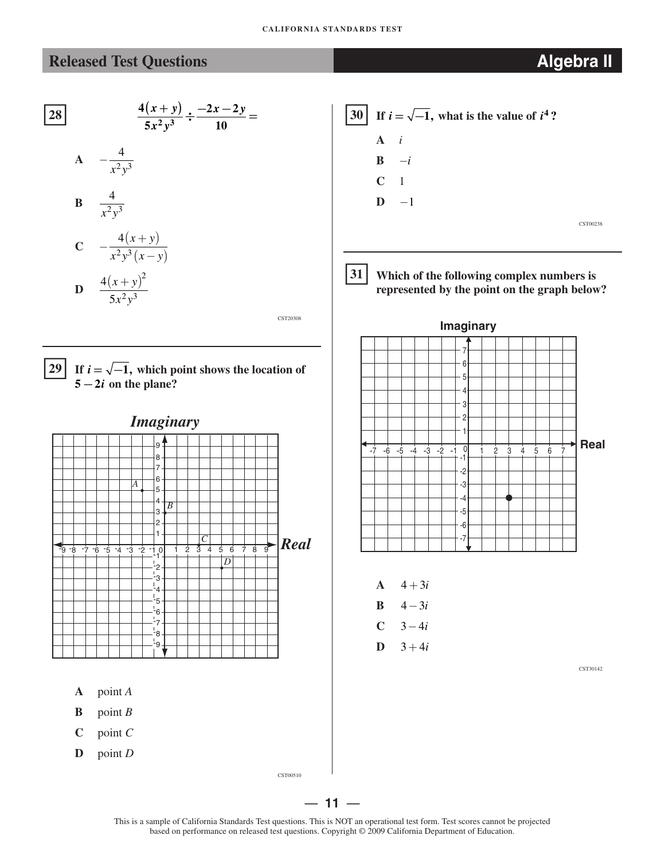$$
\frac{4(x+y)}{5x^2y^3} \div \frac{-2x-2y}{10} =
$$

$$
A = -\frac{4}{x^2y^3}
$$

$$
\mathbf{B} = \frac{4}{x^2 y^3}
$$

C 
$$
-\frac{4(x+y)}{x^2y^3(x-y)}
$$
  
D  $\frac{4(x+y)^2}{5x^2y^3}$ 

CST20308



#### **29** If  $i = \sqrt{-1}$ , which point shows the location of  $5 - 2i$  on the plane?



- **A** point *A*
- **B**  $\text{point } B$
- **C** point *C*
- **D** point *D*



31 **Which of the following complex numbers is represented by the point on the graph below?** 



- **A**  $4 + 3i$
- **B**  $4 3i$
- $C \t 3 4i$
- **D**  $3 + 4i$

CST30142



This is a sample of California Standards Test questions. This is NOT an operational test form. Test scores cannot be projected based on performance on released test questions. Copyright © 2009 California Department of Education.

— **11** —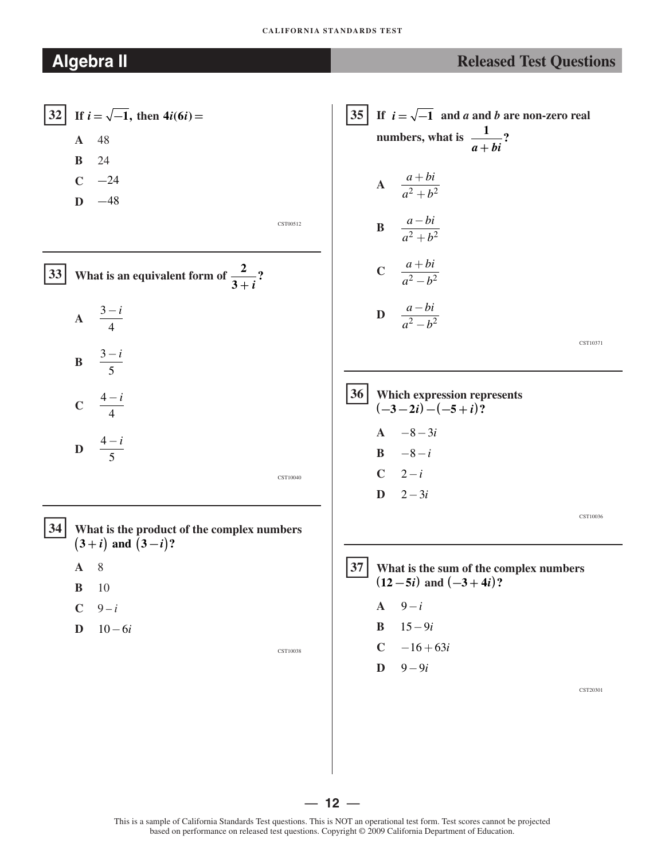#### **CALIFORNIA STANDARDS TEST**

| 32 | $\mathbf{A}$ | If $i = \sqrt{-1}$ , then $4i(6i) =$<br>- 48       |          |
|----|--------------|----------------------------------------------------|----------|
|    | $B$ 24       | $C \t -24$                                         |          |
|    |              | $D -48$                                            |          |
|    |              |                                                    | CST00512 |
|    |              | 33 What is an equivalent form of $\frac{2}{3+i}$ ? |          |
|    |              | A $\frac{3-i}{4}$                                  |          |
|    |              | $\mathbf{B} = \frac{3-i}{5}$                       |          |
|    |              | C $\frac{4-i}{4}$                                  |          |
|    |              | D $\frac{4-i}{5}$                                  |          |
|    |              |                                                    | CST10040 |

� **34 What is the product of the complex numbers**   $(3+i)$  and  $(3-i)$ ?

- **A** 8
- **B** 10
- $C = 9 i$
- **D**  $10 6i$

CST10038

35 If 
$$
i = \sqrt{-1}
$$
 and a and b are non-zero real  
\nnumbers, what is  $\frac{1}{a + bi}$ ?  
\n  
\nA  $\frac{a + bi}{a^2 + b^2}$   
\nB  $\frac{a - bi}{a^2 + b^2}$   
\nC  $\frac{a + bi}{a^2 - b^2}$   
\nD  $\frac{a - bi}{a^2 - b^2}$   
\n36 Which expression represents  
\n $(-3 - 2i) - (-5 + i)$ ?  
\nA  $-8 - 3i$   
\nB  $-8 - i$ 

CST10040

**D**  $2 - 3i$ 

 $|37|$ **37 What is the sum of the complex numbers**   $(12 - 5i)$  and  $(-3 + 4i)$ ?

**A** 9−*i* 

 $C$   $2-i$ 

- **B** 15−9*i*
- $C \quad -16 + 63i$
- **D**  $9 9i$

CST20301

CST10036

— **12** —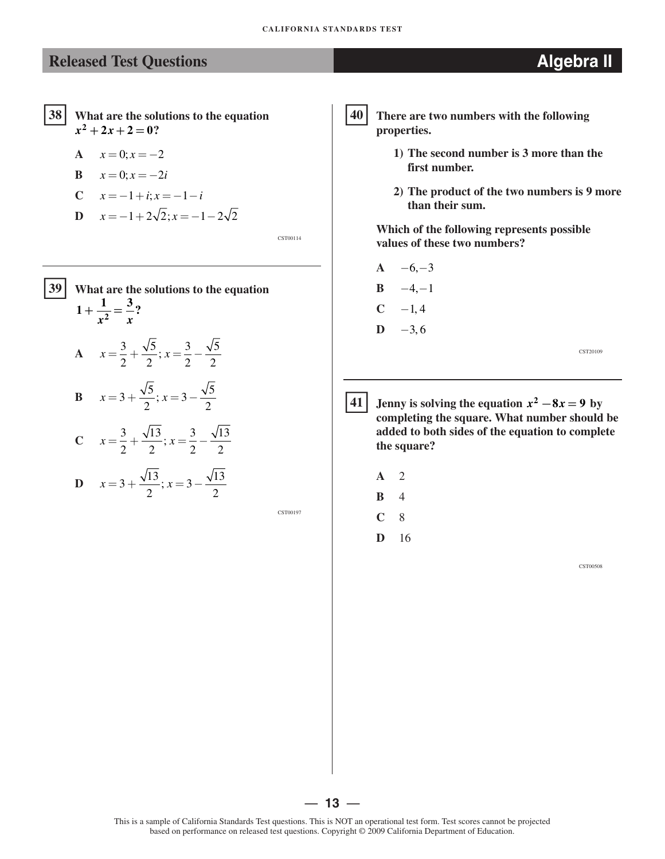#### �**<sup>38</sup> What are the solutions to the equation**   $x^2 + 2x + 2 = 0$ ?

$$
A \quad x = 0; x = -2
$$

$$
\mathbf{B} \qquad x = 0; x = -2i
$$

C 
$$
x = -1 + i
$$
;  $x = -1 - i$ 

$$
D \quad x = -1 + 2\sqrt{2}; x = -1 - 2\sqrt{2}
$$

CST00114

# $39$ **39 What are the solutions to the equation**   $1 + \frac{1}{x^2} = \frac{3}{x}$ ? **A**  $x = \frac{3}{2} + \frac{\sqrt{5}}{2}$ ;  $x = \frac{3}{2} - \frac{\sqrt{5}}{2}$ **B**  $x=3+\frac{\sqrt{5}}{2}$ ;  $x=3-\frac{\sqrt{5}}{2}$ **C**  $x = \frac{3}{2} + \frac{\sqrt{13}}{2}$ ;  $x = \frac{3}{2} - \frac{\sqrt{13}}{2}$ **D**  $x=3+\frac{\sqrt{13}}{2}; x=3-\frac{\sqrt{13}}{2}$

CST00197

# �**40 There are two numbers with the following**

- **1) The second number is 3 more than the first number.** 
	- **2) The product of the two numbers is 9 more than their sum.**

**Which of the following represents possible values of these two numbers?** 

 $A \quad -6, -3$ **B**  $-4,-1$  $C \t -1, 4$ **D**  $-3,6$ 

**properties.** 

CST20109

**41 Jenny is solving the equation**  $x^2 - 8x = 9$  **by completing the square. What number should be added to both sides of the equation to complete the square?** 

- **A** 2
- **B** 4
- **C** 8
- **D** 16

CST00508



— **13** —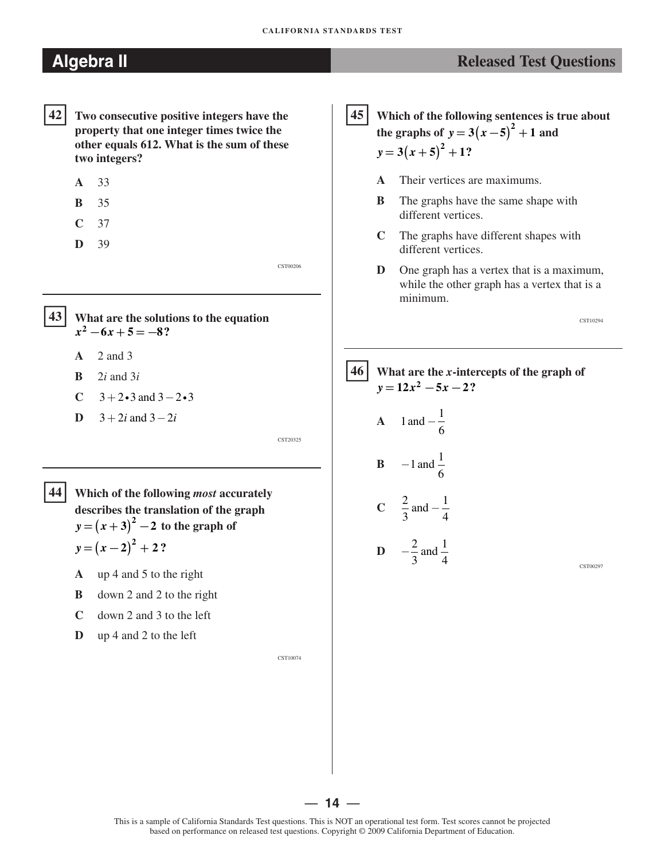# **Algebra II** *Released Test Questions*

- �**42 Two consecutive positive integers have the property that one integer times twice the other equals 612. What is the sum of these two integers?** 
	- **A** 33
	- **B** 35
	- **C** 37
	- **D** 39

�**<sup>43</sup> What are the solutions to the equation**   $x^2 - 6x + 5 = -8$ ?

- **A**  2 and 3
- **B**  2*i* and 3*i*
- **C**  $3+2\cdot3$  and  $3-2\cdot3$
- **D**  $3 + 2i$  and  $3 2i$

CST20325

CST00206

- �**<sup>44</sup> Which of the following** *most* **accurately describes the translation of the graph**   $y = (x + 3)^2 - 2$  to the graph of  $y = (x - 2)^2 + 2$ ?
	- **A** up 4 and 5 to the right
	- **B** down 2 and 2 to the right
	- **C** down 2 and 3 to the left
	- **D** up 4 and 2 to the left

CST10074

�**<sup>45</sup> Which of the following sentences is true about the graphs of**  $y = 3(x - 5)^{2} + 1$  and  $y = 3(x + 5)^2 + 1$ ?

- **A**  Their vertices are maximums.
- **B**  The graphs have the same shape with different vertices.
- **C**  The graphs have different shapes with different vertices.
- **D**  One graph has a vertex that is a maximum, while the other graph has a vertex that is a minimum.

CST10294

#### �**46 What are the** *x***-intercepts of the graph of**   $y = 12x^2 - 5x - 2?$

**A** 1 and 
$$
-\frac{1}{6}
$$
  
\n**B** -1 and  $\frac{1}{6}$   
\n**C**  $\frac{2}{3}$  and  $-\frac{1}{4}$   
\n**D**  $-\frac{2}{3}$  and  $\frac{1}{4}$ 

CST00297

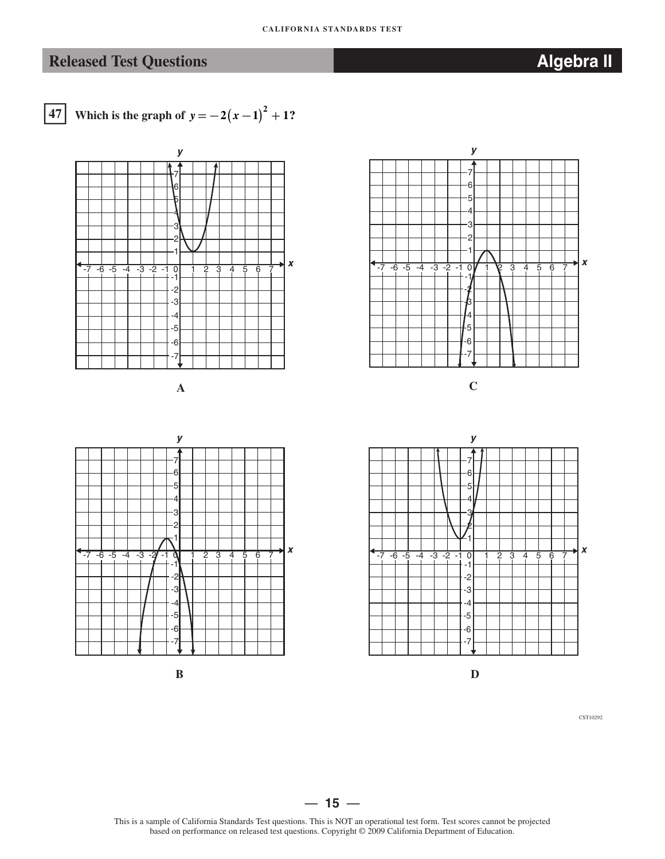# **Released Test Questions** *Algebra II* **<b>Algebra II**



**47 Which is the graph of**  $y = -2(x-1)^2 + 1$ **?** 



CST10292

#### $-15 -$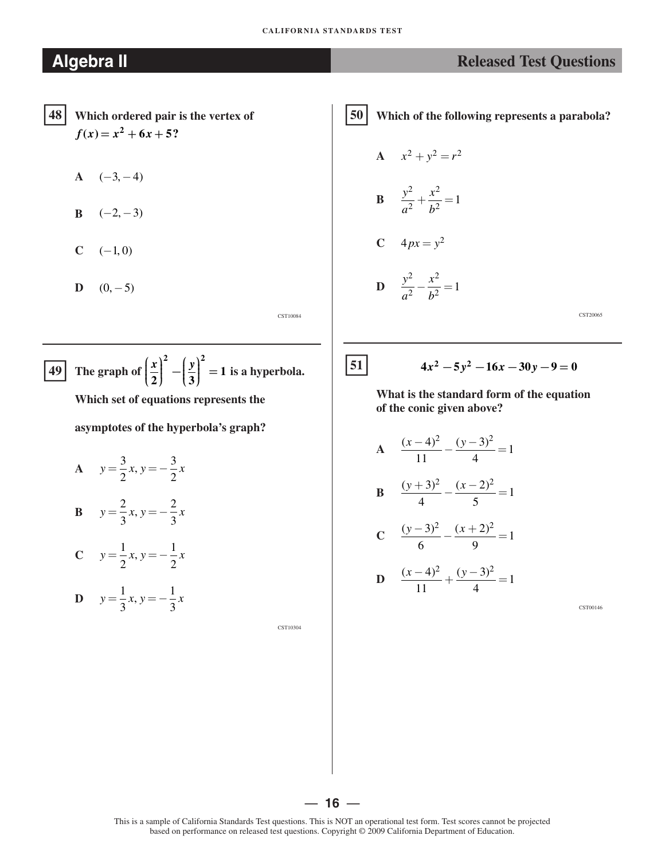- �**48 Which ordered pair is the vertex of**   $f(x) = x^2 + 6x + 5$ ?
	- $A \quad (-3, -4)$
	- **B**  $(-2, -3)$
	- $C \t(-1, 0)$
	- $D (0, -5)$

CST10084

**49** The graph of 
$$
\left(\frac{x}{2}\right)^2 - \left(\frac{y}{3}\right)^2 = 1
$$
 is a hyperbola.

**Which set of equations represents the** 

**asymptotes of the hyperbola's graph?** 

 $y = \frac{3}{2}x, y = -\frac{3}{2}x$  $2^{\frac{1}{2}}$  2 **B**  $y = \frac{2}{3}x, y = -\frac{2}{3}x$  $3^{3}$  3 **C**  $y = \frac{1}{2}x, y = -\frac{1}{2}x$  $2^{\frac{1}{2}}$  2 **D**  $y = \frac{1}{2}x, y = -\frac{1}{2}x$  $3^{3}$   $3^{3}$ 

CST10304

### **Algebra II** *Released Test Questions*

�**50 Which of the following represents a parabola?** 

$$
A \quad x^2 + y^2 = r^2
$$

**B** 
$$
\frac{y^2}{a^2} + \frac{x^2}{b^2} = 1
$$

$$
C \quad 4px = y^2
$$

$$
D \quad \frac{y^2}{a^2} - \frac{x^2}{b^2} = 1
$$

CST20065

#### $\begin{cases} 51 \ \end{cases}$   $4x^2 - 5y^2 - 16x - 30y - 9 = 0$

**What is the standard form of the equation of the conic given above?** 

 $A = \frac{(x-4)^2}{4!} - \frac{(y-3)^2}{4} = 1$ 11 4 **B**  $\frac{(y+3)^2}{4} - \frac{(x-2)^2}{5} = 1$ 4 5  $C \frac{(y-3)^2}{6} - \frac{(x+2)^2}{2} = 1$ 6 9 **D**  $\frac{(x-4)^2}{11} + \frac{(y-3)^2}{1} = 1$ 11 4

CST00146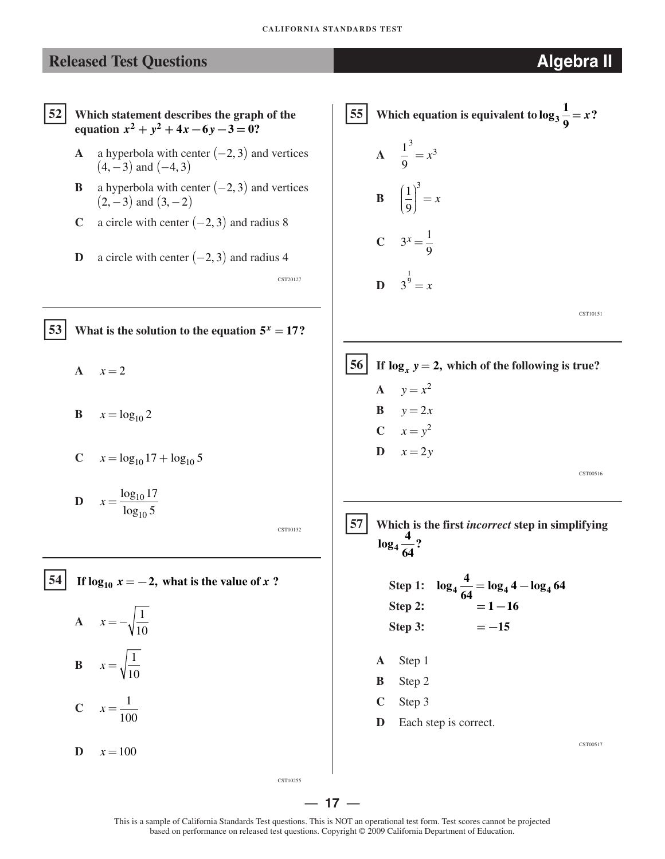�**52 Which statement describes the graph of the equation**  $x^2 + y^2 + 4x - 6y - 3 = 0$ ? **A** a hyperbola with center  $(-2, 3)$  and vertices  $(4, -3)$  and  $(-4, 3)$ **B** a hyperbola with center  $(-2, 3)$  and vertices  $(2, -3)$  and  $(3, -2)$ **C** a circle with center  $(-2, 3)$  and radius 8 **D** a circle with center  $(-2, 3)$  and radius 4 CST20127 **53** What is the solution to the equation  $5^x = 17$ ? A  $x=2$ **B**  $x = \log_{10} 2$ **C**  $x = \log_{10} 17 + \log_{10} 5$ **D**  $x = \frac{\log_{10} 17}{16}$  $\log_{10} 5$ CST00132 **54** If  $\log_{10} x = -2$ , what is the value of *x* ? **A**  $x = -\sqrt{\frac{1}{10}}$ **B**  $x = \sqrt{\frac{1}{10}}$ **C**  $x = \frac{1}{100}$  $\mathbf{D} \quad x = 100$ CST10255 **1 55** Which equation is equivalent to  $\log_3 \frac{1}{9} = x$ ? A  $\frac{1}{2}^3 = x^3$ 9 **B**  $\left(\frac{1}{9}\right)^3 = x$ **C**  $3^x = \frac{1}{2}$ **D**  $3^{\frac{1}{9}} = x$ CST10151 **56** If  $\log_{x} y = 2$ , which of the following is true? **A**  $y = x^2$  $\mathbf{B} \qquad y = 2x$ **C**  $x = y^2$  $\mathbf{D} \qquad x = 2y$ CST00516 �**57 Which is the first** *incorrect* **step in simplifying**  $\log_4 \frac{4}{64}$ ? **Step 1:**  $\log_4 \frac{4}{64} = \log_4 4 - \log_4 64$  $Step 2: = 1 - 16$  $Step 3: = -15$ **A** Step 1 **B** Step 2 **C** Step 3 **D** Each step is correct. CST00517

— **17** —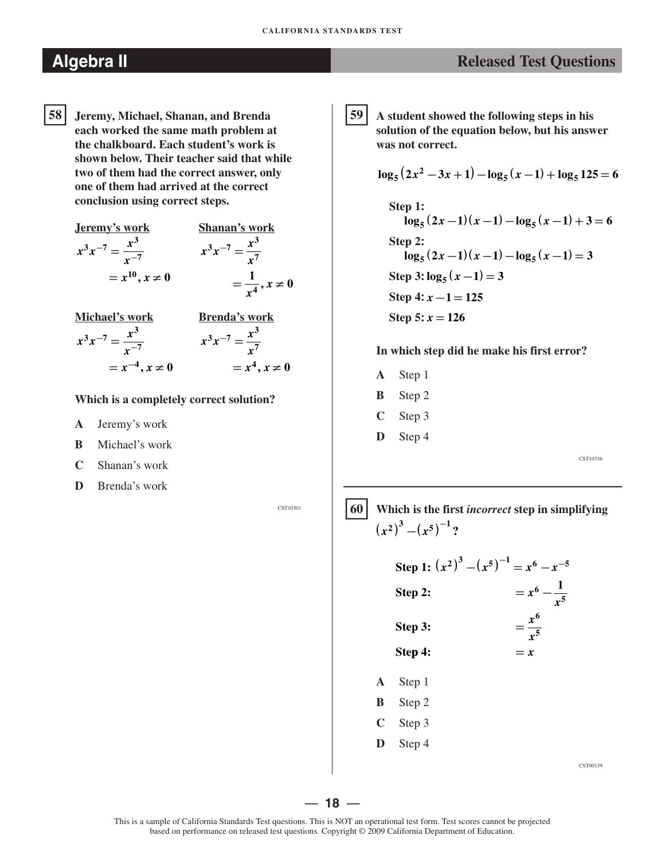**58 Jeremy, Michael, Shanan, and Brenda each worked the same math problem at the chalkboard. Each student's work is shown below. Their teacher said that while two of them had the correct answer, only one of them had arrived at the correct conclusion using correct steps.**  58

Jeremy's work  
\n
$$
x^3 x^{-7} = \frac{x^3}{x^{-7}}
$$
  
\n $= x^{10}, x \neq 0$   
\n  
\n**Shanan's work**  
\n $x^3 x^{-7} = \frac{x^3}{x^7}$   
\n $= \frac{1}{x^4}, x \neq 0$ 

| Michael's work                    | Brenda's work                  |
|-----------------------------------|--------------------------------|
| $x^3 x^{-7} = \frac{x^3}{x^{-7}}$ | $x^3 x^{-7} = \frac{x^3}{x^7}$ |
| $= x^{-4}, x \neq 0$              | $= x^4, x \neq 0$              |

#### **Which is a completely correct solution?**

- **A** Jeremy's work
- **B** Michael's work
- **C** Shanan's work
- **D** Brenda's work

CST10301

### **Algebra II** *Released Test Questions*

�**59 A student showed the following steps in his solution of the equation below, but his answer was not correct.** 

$$
\log_5(2x^2 - 3x + 1) - \log_5(x - 1) + \log_5 125 = 6
$$

**Step 1: log**<sub>5</sub>  $(2x-1)(x-1)-\log_5(x-1)+3=6$ **Step 2:**   $\log_5 (2x-1)(x-1)-\log_5 (x-1)=3$  $Step 3: log_5(x-1) = 3$ **Step 4:** *x* **− =1 125 Step 5:** *x* **= 126** 

#### **In which step did he make his first error?**

- **A** Step 1
- **B** Step 2
- **C** Step 3
- **D** Step 4

CST10336

CST00139

### �**60 Which is the first** *incorrect* **step in simplifying**   $(x^2)^3 - (x^5)^{-1}$ ?

**1:**  $(x^2)^3 - (x^5)^{-1} = x^6 - x^{-5}$ **1 Step 2: <sup>=</sup>** *<sup>x</sup>***6 <sup>−</sup>** *x* **5 Step 3:**  $=$   $\frac{x^6}{x^5}$ Step 4:  $= x$ **A** Step 1 **B** Step 2 **C** Step 3 **D** Step 4

— **18** —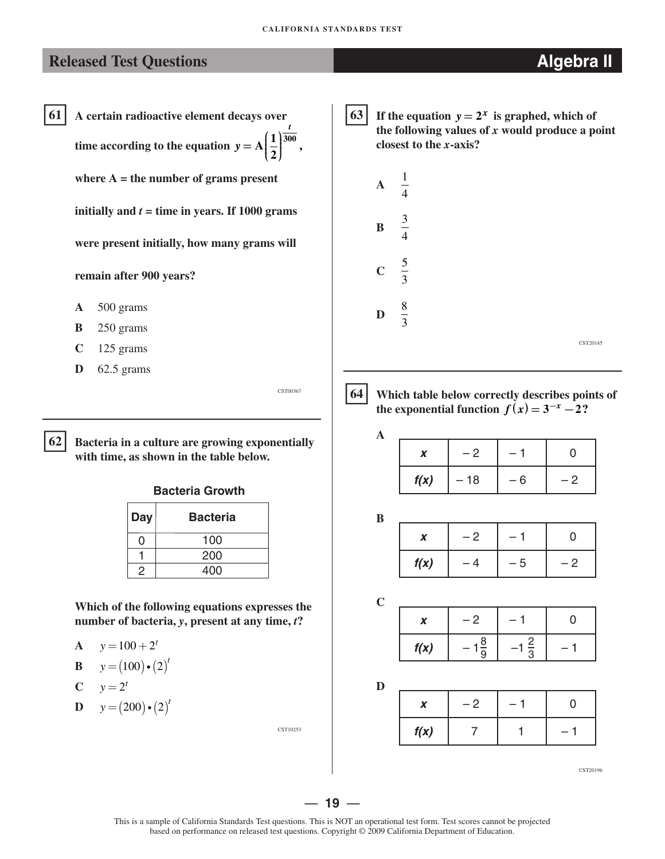61 **61 A certain radioactive element decays over time according to the equation**  $y = A\left(\frac{1}{2}\right)^{\frac{t}{300}},$ **where A = the number of grams present initially and**  $t =$  **time in years. If 1000 grams were present initially, how many grams will** 

#### **remain after 900 years?**

- **A** 500 grams
- **B** 250 grams
- **C** 125 grams
- **D** 62.5 grams

62 **62 Bacteria in a culture are growing exponentially with time, as shown in the table below.**

#### **Bacteria Growth**

| Day | <b>Bacteria</b> |
|-----|-----------------|
|     | 100             |
|     | 200             |
|     | 400             |

**Which of the following equations expresses the number of bacteria,** *y***, present at any time,** *t***?**

**A**  $y=100+2^t$ 

$$
\mathbf{B} \qquad y = (100) \cdot (2)^t
$$

$$
C \qquad y = 2^t
$$

**D**  $y = (200) \cdot (2)^t$ 

CST10253

If the equation  $y = 2^x$  is graphed, which of **the following values of** *x* **would produce a point closest to the** *x***-axis?**



# $64$

CST00367

 **64 Which table below correctly describes points of the exponential function**  $f(x) = 3^{-x} - 2$ ?

| X    | $-2$  |   | 0 |
|------|-------|---|---|
| f(x) | $-18$ | 6 | ク |

**B**

**A**

|      | $ \sim$ |     |     |
|------|---------|-----|-----|
| f(x) |         | - 5 | . . |

**C**

*x* |  $-2$  |  $-1$  | 0  $f(x)$   $-1\frac{8}{9}$   $-1\frac{2}{3}$   $-1$ 

**D**

|      | - 2 |  |
|------|-----|--|
| f(x) |     |  |

CST20196

— **19** —

CST20145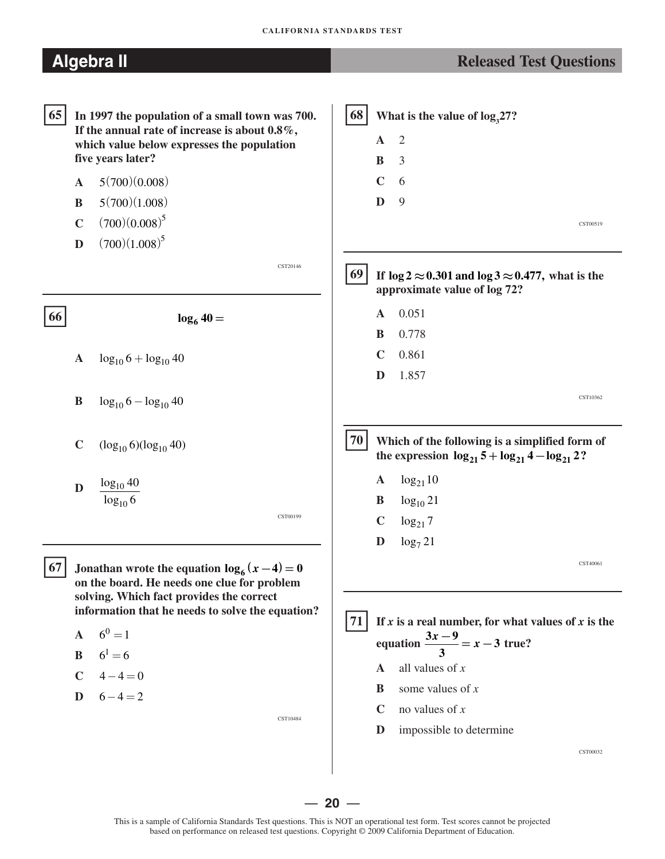| <b>Released Test Questions</b>                                                                                                                                                                                                          |
|-----------------------------------------------------------------------------------------------------------------------------------------------------------------------------------------------------------------------------------------|
| 68<br>What is the value of $log_{3}27$ ?<br>2<br>$\mathbf{A}$<br>3<br>B<br>$\mathbf C$<br>6<br>D<br>9<br>CST00519                                                                                                                       |
| 69<br>If $\log 2 \approx 0.301$ and $\log 3 \approx 0.477$ , what is the<br>approximate value of log 72?                                                                                                                                |
| 0.051<br>$\mathbf{A}$<br>0.778<br>B<br>$\mathbf C$<br>0.861<br>D<br>1.857                                                                                                                                                               |
| CST10362                                                                                                                                                                                                                                |
| 70 <br>Which of the following is a simplified form of<br>the expression $log_{21} 5 + log_{21} 4 - log_{21} 2$ ?                                                                                                                        |
| $log_{21}10$<br>$\mathbf{A}$<br>$log_{10} 21$<br>B<br>$\mathbf C$<br>$\log_{21} 7$<br>$\mathbf D$<br>$\log_7 21$                                                                                                                        |
| CST40061<br>71<br>If x is a real number, for what values of x is the<br>equation $\frac{3x-9}{3} = x-3$ true?<br>all values of $x$<br>A<br>some values of $x$<br>B<br>no values of $x$<br>C<br>impossible to determine<br>D<br>CST00032 |
|                                                                                                                                                                                                                                         |

This is a sample of California Standards Test questions. This is NOT an operational test form. Test scores cannot be projected based on performance on released test questions. Copyright © 2009 California Department of Education.

 $-20 -$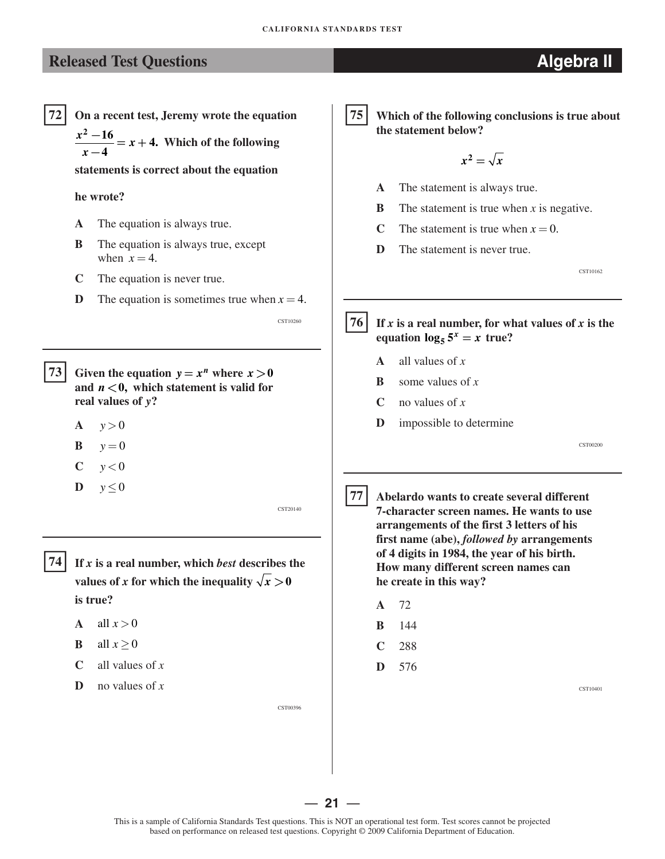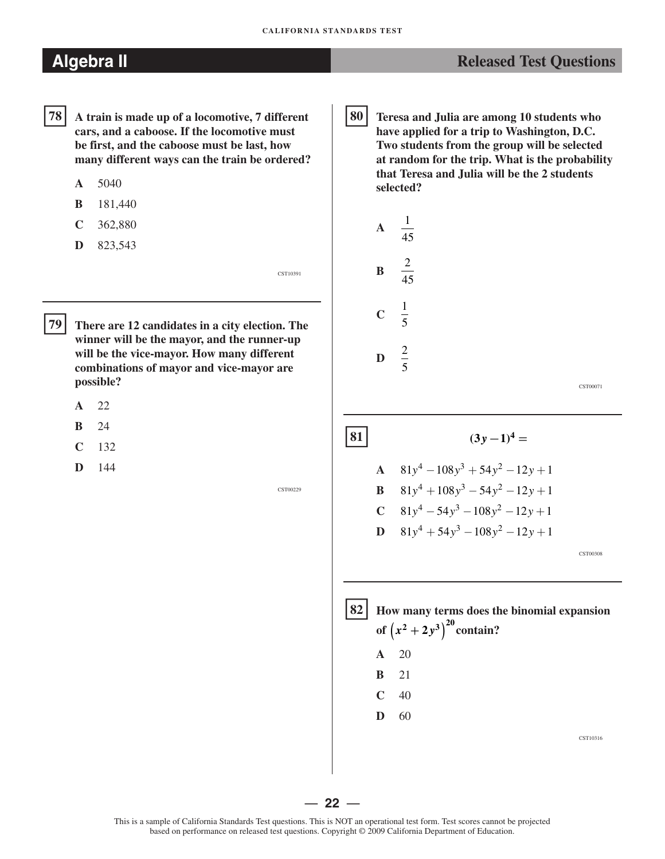- �**78 A train is made up of a locomotive, 7 different cars, and a caboose. If the locomotive must be first, and the caboose must be last, how many different ways can the train be ordered?** 
	- **A** 5040
	- **B** 181,440
	- **C** 362,880
	- **D** 823,543

�**79 There are 12 candidates in a city election. The winner will be the mayor, and the runner-up will be the vice-mayor. How many different combinations of mayor and vice-mayor are possible?** 

- **A** 22
- **B** 24
- **C** 132
- **D** 144

CST00229

CST10391

**80 Teresa and Julia are among 10 students who have applied for a trip to Washington, D.C. Two students from the group will be selected at random for the trip. What is the probability that Teresa and Julia will be the 2 students selected?**  80

**A** 
$$
\frac{1}{45}
$$
  
\n**B**  $\frac{2}{45}$   
\n**C**  $\frac{1}{5}$   
\n**D**  $\frac{2}{5}$ 

CST00071

# **A**  $81y^4 - 108y^3 + 54y^2 - 12y + 1$

**B** 
$$
81y^4 + 108y^3 - 54y^2 - 12y + 1
$$
  
\n**C**  $81y^4 - 54y^3 - 108y^2 - 12y + 1$   
\n**D**  $81y^4 + 54y^3 - 108y^2 - 12y + 1$ 

 $|81|$   $(3y-1)^4 =$ 

CST00308



— **22** —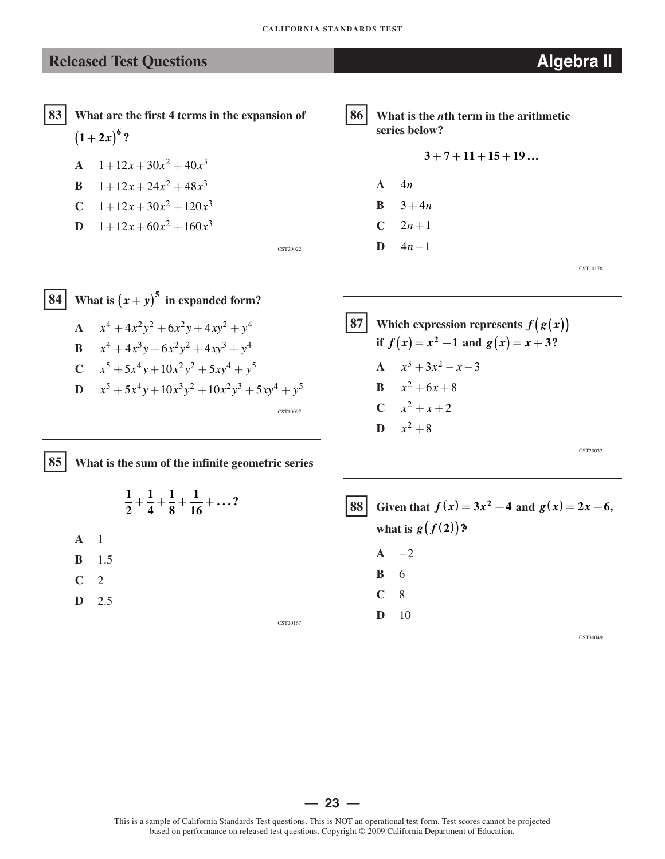�**83 What are the first 4 terms in the expansion of**   $(1+2x)^{6}$ ?

$$
A = 1 + 12x + 30x^2 + 40x^3
$$

$$
B = 1 + 12x + 24x^2 + 48x^3
$$

C 
$$
1+12x+30x^2+120x^3
$$

**D**  $1+12x+60x^2+160x^3$ 

CST20022

�**86 What is the** *n***th term in the arithmetic series below?** 

$$
3+7+11+15+19\ldots
$$

**A** 4*n*  **B**  $3 + 4n$  $C = 2n + 1$ **D**  $4n-1$ 

CST10178

 $\boxed{84}$  What is  $(x + y)$ **5**  *y* **in expanded form? A**  $x^4 + 4x^2y^2 + 6x^2y + 4xy^2 + y^4$ **B**  $x^4 + 4x^3y + 6x^2y^2 + 4xy^3 + y^4$  $C = x^5 + 5x^4y + 10x^2y^2 + 5xy^4 + y^5$ 

$$
x^{5} + 5x^{4}y + 10x^{3}y^{2} + 10x^{2}y^{3} + 5xy^{4} + y^{5}
$$
  
**D**  $x^{5} + 5x^{4}y + 10x^{3}y^{2} + 10x^{2}y^{3} + 5xy^{4} + y^{5}$ 

�**85 What is the sum of the infinite geometric series** 

 $\frac{1}{2} + \frac{1}{4} + \frac{1}{8} + \frac{1}{16} + \ldots$ ? **2 4 8 16** 

- **A** 1
- **B** 1.5
- **C** 2

**D** 2.5

CST20167

 $\left[ 87 \right]$  Which expression represents  $f(g(x))$ **if**  $f(x) = x^2 - 1$  and  $g(x) = x + 3$ ? **A**  $x^3 + 3x^2 - x - 3$ **B**  $x^2 + 6x + 8$ **C**  $x^2 + x + 2$ **D**  $x^2 + 8$ CST20032

 $\begin{cases} 88 \text{ } | \text{ Given that } f(x) = 3x^2 - 4 \text{ and } g(x) = 2x - 6, \end{cases}$ **what is**  $g(f(2))$ **?**  $A \t -2$ **B** 6 **C** 8 **D** 10 CST30049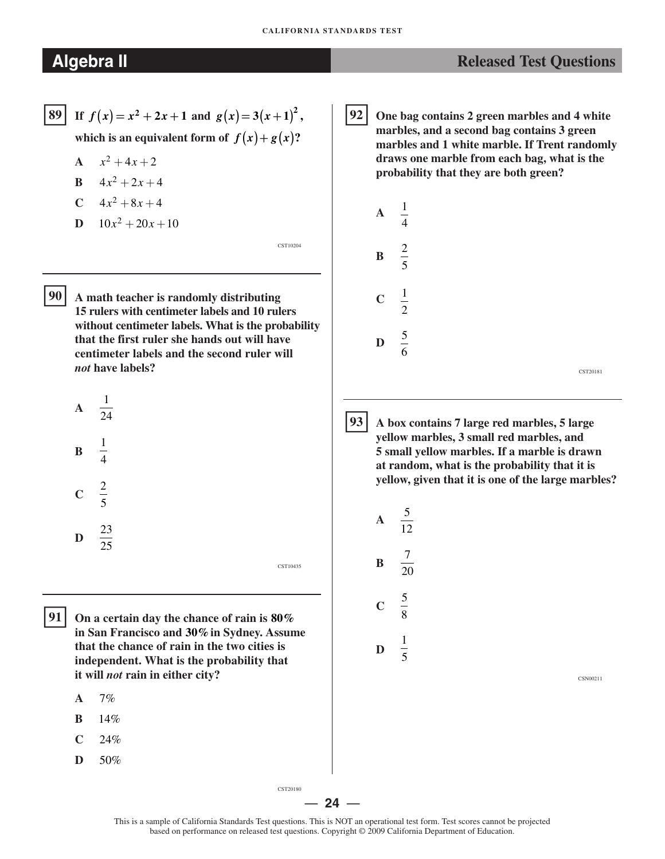CST10204

CST10435

**89** If  $f(x) = x^2 + 2x + 1$  and  $g(x) = 3(x+1)^2$ , **which is an equivalent form of**  $f(x) + g(x)$ **?** 

- **A**  $x^2 + 4x + 2$
- **B**  $4x^2 + 2x + 4$
- $C = 4x^2 + 8x + 4$
- **D**  $10x^2 + 20x + 10$

�**90 A math teacher is randomly distributing 15 rulers with centimeter labels and 10 rulers without centimeter labels. What is the probability that the first ruler she hands out will have centimeter labels and the second ruler will**  *not* **have labels?** 



**91** On a certain day the chance of rain is 80% **in San Francisco and 30%in Sydney. Assume that the chance of rain in the two cities is independent. What is the probability that it will** *not* **rain in either city?** 

- **A** 7%
- **B** 14%
- **C** 24%
- **D** 50%

� **92 One bag contains 2 green marbles and 4 white marbles, and a second bag contains 3 green marbles and 1 white marble. If Trent randomly draws one marble from each bag, what is the probability that they are both green?** 



� **93 A box contains 7 large red marbles, 5 large yellow marbles, 3 small red marbles, and 5 small yellow marbles. If a marble is drawn at random, what is the probability that it is yellow, given that it is one of the large marbles?** 



CSN00211

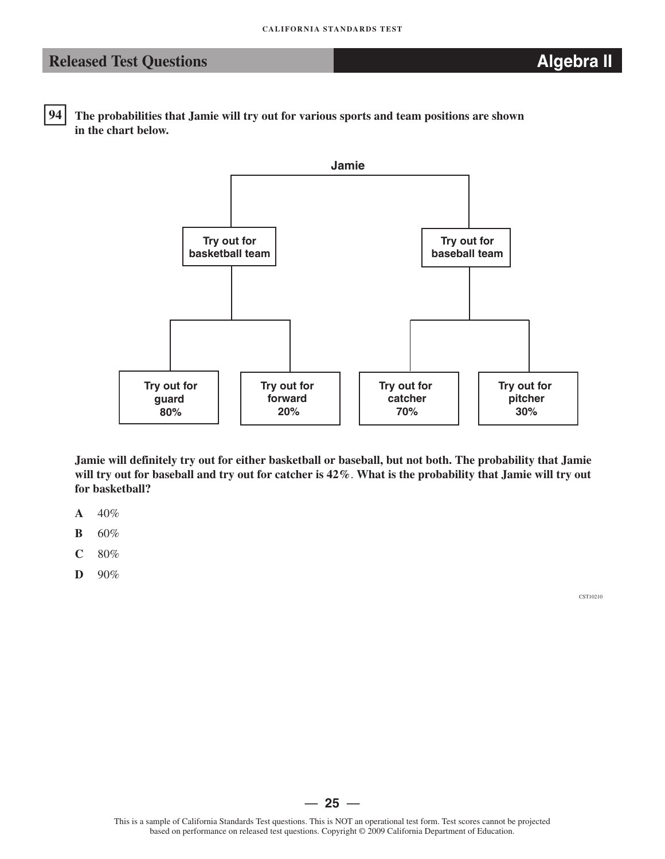**94** The probabilities that Jamie will try out for various sports and team positions are shown **in the chart below.** 



**Jamie will definitely try out for either basketball or baseball, but not both. The probability that Jamie will try out for baseball and try out for catcher is 42%**. **What is the probability that Jamie will try out for basketball?** 

- **A** 40%
- **B** 60%
- **C** 80%
- **D** 90%

CST10210

— **25** —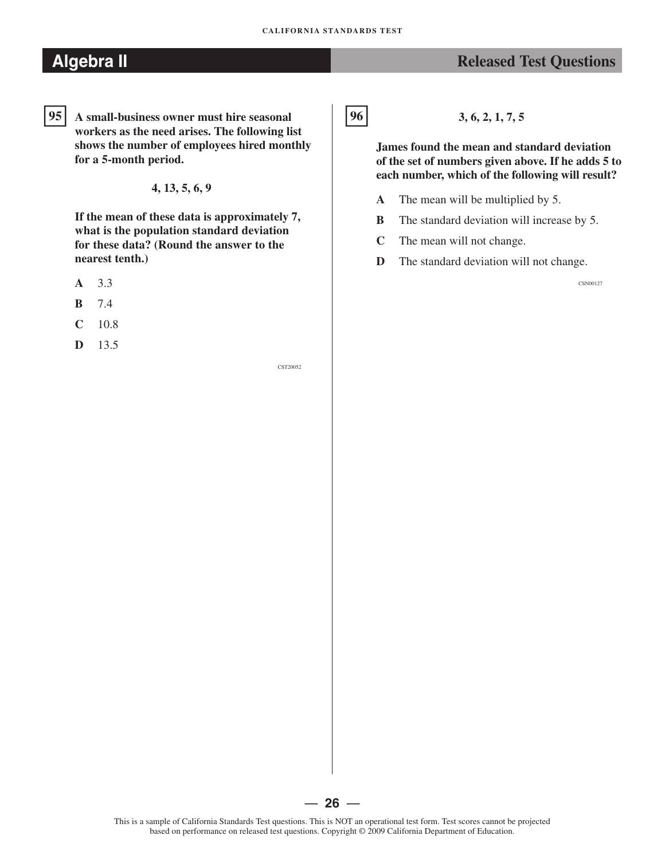### **Algebra II** *Released Test Questions Released Test Questions*

�**95 A small-business owner must hire seasonal workers as the need arises. The following list shows the number of employees hired monthly for a 5-month period.** 

**4, 13, 5, 6, 9** 

**If the mean of these data is approximately 7, what is the population standard deviation for these data? (Round the answer to the nearest tenth.)** 

- **A** 3.3
- **B** 7.4
- **C** 10.8
- **D** 13.5

CST20052

 $96$ 

**96 3, 6, 2, 1, 7, 5** 

**James found the mean and standard deviation of the set of numbers given above. If he adds 5 to each number, which of the following will result?** 

- **A** The mean will be multiplied by 5.
- **B** The standard deviation will increase by 5.
- **C** The mean will not change.
- **D** The standard deviation will not change.

CSN00127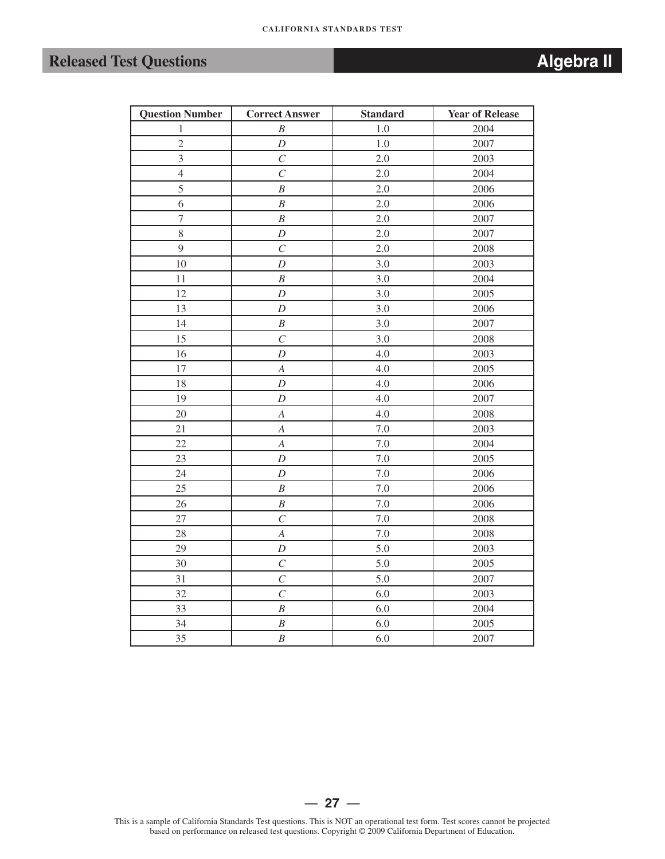# **Released Test Questions** *Algebra II* **<b>***Algebra II*

|                                                                                                                                                                                                                                         | 34 | B     | 6.0 | 2005 |  |
|-----------------------------------------------------------------------------------------------------------------------------------------------------------------------------------------------------------------------------------------|----|-------|-----|------|--|
|                                                                                                                                                                                                                                         | 35 | B     | 6.0 | 2007 |  |
|                                                                                                                                                                                                                                         |    |       |     |      |  |
|                                                                                                                                                                                                                                         |    |       |     |      |  |
|                                                                                                                                                                                                                                         |    |       |     |      |  |
|                                                                                                                                                                                                                                         |    |       |     |      |  |
|                                                                                                                                                                                                                                         |    |       |     |      |  |
|                                                                                                                                                                                                                                         |    |       |     |      |  |
|                                                                                                                                                                                                                                         |    |       |     |      |  |
|                                                                                                                                                                                                                                         |    |       |     |      |  |
|                                                                                                                                                                                                                                         |    |       |     |      |  |
|                                                                                                                                                                                                                                         |    |       |     |      |  |
|                                                                                                                                                                                                                                         |    | $-27$ |     |      |  |
| This is a sample of California Standards Test questions. This is NOT an operational test form. Test scores cannot be projected<br>based on performance on released test questions. Copyright © 2009 California Department of Education. |    |       |     |      |  |
|                                                                                                                                                                                                                                         |    |       |     |      |  |

| <b>Question Number</b> | <b>Correct Answer</b>   | <b>Standard</b> | <b>Year of Release</b> |
|------------------------|-------------------------|-----------------|------------------------|
| $\,1$                  | $\boldsymbol{B}$        | $1.0\,$         | 2004                   |
| $\overline{c}$         | $\boldsymbol{D}$        | 1.0             | 2007                   |
| 3                      | $\overline{C}$          | 2.0             | 2003                   |
| $\overline{4}$         | $\cal C$                | 2.0             | 2004                   |
| 5                      | $\boldsymbol{B}$        | $2.0\,$         | 2006                   |
| 6                      | $\boldsymbol{B}$        | 2.0             | 2006                   |
| $\boldsymbol{7}$       | $\boldsymbol{B}$        | 2.0             | 2007                   |
| $\,8\,$                | $\overline{D}$          | 2.0             | 2007                   |
| 9                      | $\overline{C}$          | 2.0             | 2008                   |
| 10                     | $\overline{D}$          | 3.0             | 2003                   |
| 11                     | $\boldsymbol{B}$        | 3.0             | 2004                   |
| 12                     | $\overline{D}$          | $3.0\,$         | 2005                   |
| 13                     | $\overline{D}$          | 3.0             | 2006                   |
| 14                     | $\boldsymbol{B}$        | 3.0             | 2007                   |
| 15                     | $\overline{C}$          | 3.0             | 2008                   |
| 16                     | $\boldsymbol{D}$        | 4.0             | 2003                   |
| 17                     | $\boldsymbol{A}$        | 4.0             | 2005                   |
| 18                     | $\overline{D}$          | 4.0             | 2006                   |
| 19                     | $\overline{D}$          | 4.0             | 2007                   |
| 20                     | $\overline{A}$          | 4.0             | 2008                   |
| 21                     | $\boldsymbol{A}$        | 7.0             | 2003                   |
| $22\,$                 | $\boldsymbol{A}$        | $7.0\,$         | 2004                   |
| 23                     | $\overline{D}$          | $7.0\,$         | 2005                   |
| 24                     | $\overline{D}$          | $7.0\,$         | 2006                   |
| 25                     | $\boldsymbol{B}$        | $7.0\,$         | 2006                   |
| $26\,$                 | $\boldsymbol{B}$        | $7.0\,$         | 2006                   |
| 27                     | $\cal C$                | $7.0\,$         | 2008                   |
| 28                     | $\boldsymbol{A}$        | $7.0\,$         | 2008                   |
| 29                     | $\overline{D}$          | 5.0             | 2003                   |
| 30                     | $\mathcal{C}_{0}^{(n)}$ | 5.0             | 2005                   |
| 31                     | $\overline{C}$          | 5.0             | 2007                   |
| 32                     | $\overline{C}$          | 6.0             | 2003                   |
| 33                     | $\boldsymbol{B}$        | 6.0             | 2004                   |
| 34                     | $\boldsymbol{B}$        | 6.0             | 2005                   |
| 35                     | $\boldsymbol{B}$        | 6.0             | 2007                   |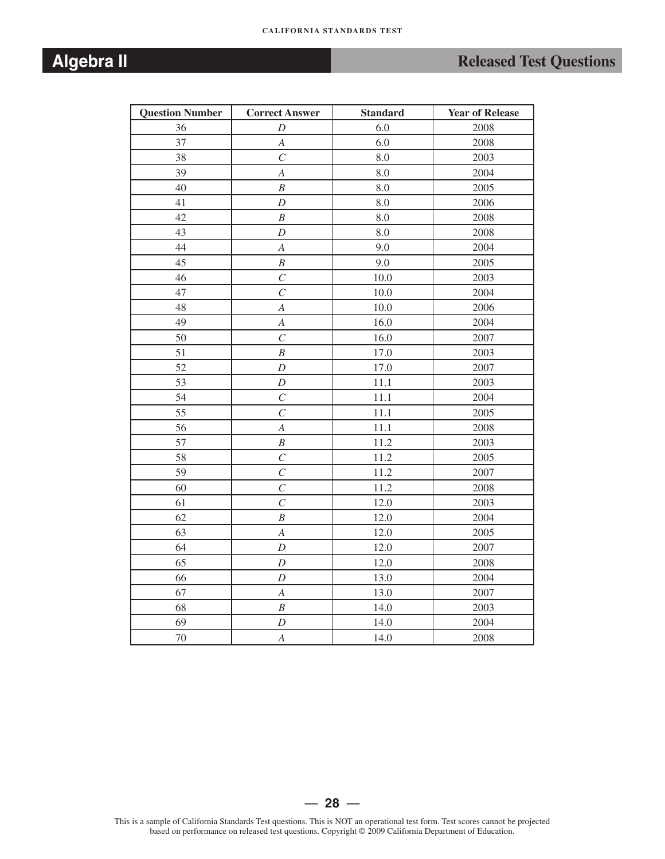# **Algebra II** *Released Test Questions Released Test Questions*

| <b>Question Number</b> | <b>Correct Answer</b> | <b>Standard</b> | <b>Year of Release</b> |
|------------------------|-----------------------|-----------------|------------------------|
| 36                     | D                     | 6.0             | 2008                   |
| 37                     | $\boldsymbol{A}$      | 6.0             | 2008                   |
| 38                     | $\overline{C}$        | 8.0             | 2003                   |
| 39                     | $\boldsymbol{A}$      | 8.0             | 2004                   |
| 40                     | $\boldsymbol{B}$      | 8.0             | 2005                   |
| 41                     | $\boldsymbol{D}$      | 8.0             | 2006                   |
| 42                     | $\boldsymbol{B}$      | 8.0             | 2008                   |
| 43                     | $\boldsymbol{D}$      | 8.0             | 2008                   |
| 44                     | $\boldsymbol{A}$      | 9.0             | 2004                   |
| 45                     | $\boldsymbol{B}$      | 9.0             | 2005                   |
| 46                     | $\mathcal{C}$         | 10.0            | 2003                   |
| 47                     | $\overline{C}$        | 10.0            | 2004                   |
| 48                     | $\boldsymbol{A}$      | 10.0            | 2006                   |
| 49                     | $\boldsymbol{A}$      | 16.0            | 2004                   |
| 50                     | $\overline{C}$        | 16.0            | 2007                   |
| 51                     | $\boldsymbol{B}$      | 17.0            | 2003                   |
| 52                     | $\boldsymbol{D}$      | 17.0            | 2007                   |
| 53                     | $\boldsymbol{D}$      | 11.1            | 2003                   |
| 54                     | $\mathcal{C}_{0}^{0}$ | 11.1            | 2004                   |
| 55                     | $\mathcal{C}$         | 11.1            | 2005                   |
| 56                     | $\overline{A}$        | 11.1            | 2008                   |
| 57                     | $\boldsymbol{B}$      | 11.2            | 2003                   |
| 58                     | $\overline{C}$        | 11.2            | 2005                   |
| 59                     | $\overline{C}$        | 11.2            | 2007                   |
| 60                     | $\cal C$              | 11.2            | 2008                   |
| 61                     | $\overline{C}$        | 12.0            | 2003                   |
| 62                     | $\boldsymbol{B}$      | 12.0            | 2004                   |
| 63                     | $\boldsymbol{A}$      | 12.0            | 2005                   |
| 64                     | $\boldsymbol{D}$      | 12.0            | 2007                   |
| 65                     | $\boldsymbol{D}$      | 12.0            | 2008                   |
| 66                     | D                     | 13.0            | 2004                   |
| 67                     | $\boldsymbol{A}$      | 13.0            | 2007                   |
| 68                     | $\boldsymbol{B}$      | 14.0            | 2003                   |
| 69                     | $\cal D$              | 14.0            | 2004                   |
| 70                     | $\overline{A}$        | 14.0            | 2008                   |

This is a sample of California Standards Test questions. This is NOT an operational test form. Test scores cannot be projected based on performance on released test questions. Copyright © 2009 California Department of Education.

— **28** —